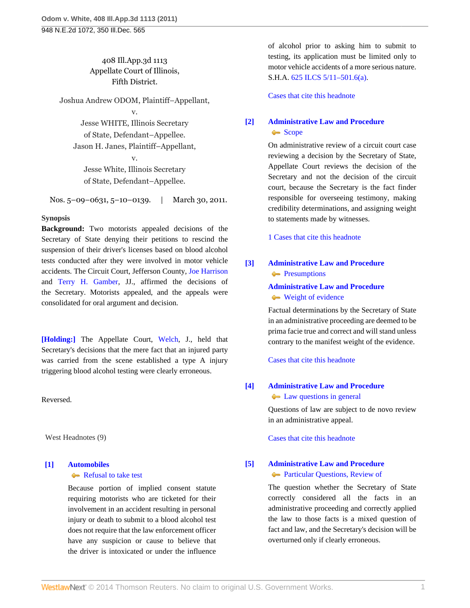## 408 Ill.App.3d 1113 Appellate Court of Illinois, Fifth District.

Joshua Andrew ODOM, Plaintiff–Appellant, v.

Jesse WHITE, Illinois Secretary of State, Defendant–Appellee. Jason H. Janes, Plaintiff–Appellant,

v. Jesse White, Illinois Secretary of State, Defendant–Appellee.

Nos. 5–09–0631, 5–10–0139. | March 30, 2011.

#### **Synopsis**

**Background:** Two motorists appealed decisions of the Secretary of State denying their petitions to rescind the suspension of their driver's licenses based on blood alcohol tests conducted after they were involved in motor vehicle accidents. The Circuit Court, Jefferson County, [Joe Harrison](http://www.westlaw.com/Link/Document/FullText?findType=h&pubNum=176284&cite=0316851501&originatingDoc=If098c6e05ee911e097a4a9f0a6e10efc&refType=RQ&originationContext=document&vr=3.0&rs=cblt1.0&transitionType=DocumentItem&contextData=(sc.Search)) and [Terry H. Gamber,](http://www.westlaw.com/Link/Document/FullText?findType=h&pubNum=176284&cite=0179050801&originatingDoc=If098c6e05ee911e097a4a9f0a6e10efc&refType=RQ&originationContext=document&vr=3.0&rs=cblt1.0&transitionType=DocumentItem&contextData=(sc.Search)) JJ., affirmed the decisions of the Secretary. Motorists appealed, and the appeals were consolidated for oral argument and decision.

**[\[Holding:\]](#page-1-0)** The Appellate Court, [Welch](http://www.westlaw.com/Link/Document/FullText?findType=h&pubNum=176284&cite=0212121101&originatingDoc=If098c6e05ee911e097a4a9f0a6e10efc&refType=RQ&originationContext=document&vr=3.0&rs=cblt1.0&transitionType=DocumentItem&contextData=(sc.Search)), J., held that Secretary's decisions that the mere fact that an injured party was carried from the scene established a type A injury triggering blood alcohol testing were clearly erroneous.

Reversed.

West Headnotes (9)

# <span id="page-0-0"></span>**[\[1\]](#page-2-0) [Automobiles](http://www.westlaw.com/Browse/Home/KeyNumber/48A/View.html?docGuid=If098c6e05ee911e097a4a9f0a6e10efc&originationContext=document&vr=3.0&rs=cblt1.0&transitionType=DocumentItem&contextData=(sc.Search))**

#### [Refusal to take test](http://www.westlaw.com/Browse/Home/KeyNumber/48Ak144.1(1.20)/View.html?docGuid=If098c6e05ee911e097a4a9f0a6e10efc&originationContext=document&vr=3.0&rs=cblt1.0&transitionType=DocumentItem&contextData=(sc.Search))

Because portion of implied consent statute requiring motorists who are ticketed for their involvement in an accident resulting in personal injury or death to submit to a blood alcohol test does not require that the law enforcement officer have any suspicion or cause to believe that the driver is intoxicated or under the influence of alcohol prior to asking him to submit to testing, its application must be limited only to motor vehicle accidents of a more serious nature. S.H.A. [625 ILCS 5/11–501.6\(a\).](http://www.westlaw.com/Link/Document/FullText?findType=L&pubNum=1000008&cite=IL625S5%2f11-501.6&originatingDoc=If098c6e05ee911e097a4a9f0a6e10efc&refType=SP&originationContext=document&vr=3.0&rs=cblt1.0&transitionType=DocumentItem&contextData=(sc.Search)#co_pp_8b3b0000958a4)

[Cases that cite this headnote](http://www.westlaw.com/Link/RelatedInformation/DocHeadnoteLink?docGuid=If098c6e05ee911e097a4a9f0a6e10efc&headnoteId=202493457600120111213035525&originationContext=document&vr=3.0&rs=cblt1.0&transitionType=CitingReferences&contextData=(sc.Search))

# <span id="page-0-1"></span>**[\[2\]](#page-2-1) [Administrative Law and Procedure](http://www.westlaw.com/Browse/Home/KeyNumber/15A/View.html?docGuid=If098c6e05ee911e097a4a9f0a6e10efc&originationContext=document&vr=3.0&rs=cblt1.0&transitionType=DocumentItem&contextData=(sc.Search))** [Scope](http://www.westlaw.com/Browse/Home/KeyNumber/15Ak683/View.html?docGuid=If098c6e05ee911e097a4a9f0a6e10efc&originationContext=document&vr=3.0&rs=cblt1.0&transitionType=DocumentItem&contextData=(sc.Search))<sup>s</sup>

On administrative review of a circuit court case reviewing a decision by the Secretary of State, Appellate Court reviews the decision of the Secretary and not the decision of the circuit court, because the Secretary is the fact finder responsible for overseeing testimony, making credibility determinations, and assigning weight to statements made by witnesses.

[1 Cases that cite this headnote](http://www.westlaw.com/Link/RelatedInformation/DocHeadnoteLink?docGuid=If098c6e05ee911e097a4a9f0a6e10efc&headnoteId=202493457600220111213035525&originationContext=document&vr=3.0&rs=cblt1.0&transitionType=CitingReferences&contextData=(sc.Search))

<span id="page-0-2"></span>**[\[3\]](#page-2-2) [Administrative Law and Procedure](http://www.westlaw.com/Browse/Home/KeyNumber/15A/View.html?docGuid=If098c6e05ee911e097a4a9f0a6e10efc&originationContext=document&vr=3.0&rs=cblt1.0&transitionType=DocumentItem&contextData=(sc.Search)) [Presumptions](http://www.westlaw.com/Browse/Home/KeyNumber/15Ak749/View.html?docGuid=If098c6e05ee911e097a4a9f0a6e10efc&originationContext=document&vr=3.0&rs=cblt1.0&transitionType=DocumentItem&contextData=(sc.Search))** 

## **[Administrative Law and Procedure](http://www.westlaw.com/Browse/Home/KeyNumber/15A/View.html?docGuid=If098c6e05ee911e097a4a9f0a6e10efc&originationContext=document&vr=3.0&rs=cblt1.0&transitionType=DocumentItem&contextData=(sc.Search))**

#### [Weight of evidence](http://www.westlaw.com/Browse/Home/KeyNumber/15Ak793/View.html?docGuid=If098c6e05ee911e097a4a9f0a6e10efc&originationContext=document&vr=3.0&rs=cblt1.0&transitionType=DocumentItem&contextData=(sc.Search))

Factual determinations by the Secretary of State in an administrative proceeding are deemed to be prima facie true and correct and will stand unless contrary to the manifest weight of the evidence.

[Cases that cite this headnote](http://www.westlaw.com/Link/RelatedInformation/DocHeadnoteLink?docGuid=If098c6e05ee911e097a4a9f0a6e10efc&headnoteId=202493457600320111213035525&originationContext=document&vr=3.0&rs=cblt1.0&transitionType=CitingReferences&contextData=(sc.Search))

# <span id="page-0-3"></span>**[\[4\]](#page-2-3) [Administrative Law and Procedure](http://www.westlaw.com/Browse/Home/KeyNumber/15A/View.html?docGuid=If098c6e05ee911e097a4a9f0a6e10efc&originationContext=document&vr=3.0&rs=cblt1.0&transitionType=DocumentItem&contextData=(sc.Search))**

**[Law questions in general](http://www.westlaw.com/Browse/Home/KeyNumber/15Ak796/View.html?docGuid=If098c6e05ee911e097a4a9f0a6e10efc&originationContext=document&vr=3.0&rs=cblt1.0&transitionType=DocumentItem&contextData=(sc.Search))** 

Questions of law are subject to de novo review in an administrative appeal.

[Cases that cite this headnote](http://www.westlaw.com/Link/RelatedInformation/DocHeadnoteLink?docGuid=If098c6e05ee911e097a4a9f0a6e10efc&headnoteId=202493457600420111213035525&originationContext=document&vr=3.0&rs=cblt1.0&transitionType=CitingReferences&contextData=(sc.Search))

## <span id="page-0-4"></span>**[\[5\]](#page-2-4) [Administrative Law and Procedure](http://www.westlaw.com/Browse/Home/KeyNumber/15A/View.html?docGuid=If098c6e05ee911e097a4a9f0a6e10efc&originationContext=document&vr=3.0&rs=cblt1.0&transitionType=DocumentItem&contextData=(sc.Search))**

#### **[Particular Questions, Review of](http://www.westlaw.com/Browse/Home/KeyNumber/15AV(E)/View.html?docGuid=If098c6e05ee911e097a4a9f0a6e10efc&originationContext=document&vr=3.0&rs=cblt1.0&transitionType=DocumentItem&contextData=(sc.Search))**

The question whether the Secretary of State correctly considered all the facts in an administrative proceeding and correctly applied the law to those facts is a mixed question of fact and law, and the Secretary's decision will be overturned only if clearly erroneous.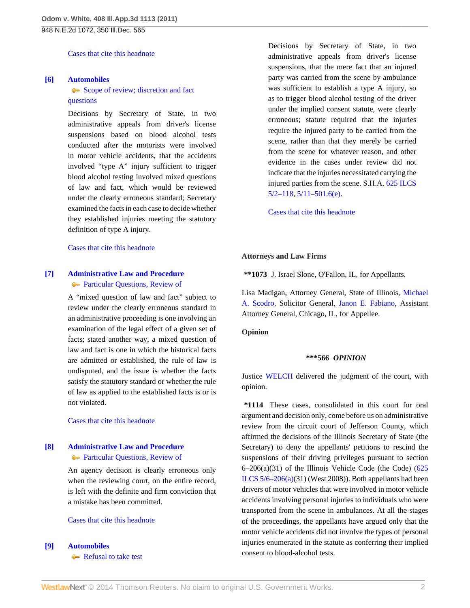[Cases that cite this headnote](http://www.westlaw.com/Link/RelatedInformation/DocHeadnoteLink?docGuid=If098c6e05ee911e097a4a9f0a6e10efc&headnoteId=202493457600520111213035525&originationContext=document&vr=3.0&rs=cblt1.0&transitionType=CitingReferences&contextData=(sc.Search))

#### <span id="page-1-1"></span>**[\[6\]](#page-4-0) [Automobiles](http://www.westlaw.com/Browse/Home/KeyNumber/48A/View.html?docGuid=If098c6e05ee911e097a4a9f0a6e10efc&originationContext=document&vr=3.0&rs=cblt1.0&transitionType=DocumentItem&contextData=(sc.Search))**

[Scope of review; discretion and fact](http://www.westlaw.com/Browse/Home/KeyNumber/48Ak144.2(3)/View.html?docGuid=If098c6e05ee911e097a4a9f0a6e10efc&originationContext=document&vr=3.0&rs=cblt1.0&transitionType=DocumentItem&contextData=(sc.Search)) [questions](http://www.westlaw.com/Browse/Home/KeyNumber/48Ak144.2(3)/View.html?docGuid=If098c6e05ee911e097a4a9f0a6e10efc&originationContext=document&vr=3.0&rs=cblt1.0&transitionType=DocumentItem&contextData=(sc.Search))

Decisions by Secretary of State, in two administrative appeals from driver's license suspensions based on blood alcohol tests conducted after the motorists were involved in motor vehicle accidents, that the accidents involved "type A" injury sufficient to trigger blood alcohol testing involved mixed questions of law and fact, which would be reviewed under the clearly erroneous standard; Secretary examined the facts in each case to decide whether they established injuries meeting the statutory definition of type A injury.

[Cases that cite this headnote](http://www.westlaw.com/Link/RelatedInformation/DocHeadnoteLink?docGuid=If098c6e05ee911e097a4a9f0a6e10efc&headnoteId=202493457600620111213035525&originationContext=document&vr=3.0&rs=cblt1.0&transitionType=CitingReferences&contextData=(sc.Search))

### <span id="page-1-2"></span>**[\[7\]](#page-4-1) [Administrative Law and Procedure](http://www.westlaw.com/Browse/Home/KeyNumber/15A/View.html?docGuid=If098c6e05ee911e097a4a9f0a6e10efc&originationContext=document&vr=3.0&rs=cblt1.0&transitionType=DocumentItem&contextData=(sc.Search)) [Particular Questions, Review of](http://www.westlaw.com/Browse/Home/KeyNumber/15AV(E)/View.html?docGuid=If098c6e05ee911e097a4a9f0a6e10efc&originationContext=document&vr=3.0&rs=cblt1.0&transitionType=DocumentItem&contextData=(sc.Search))**

A "mixed question of law and fact" subject to review under the clearly erroneous standard in an administrative proceeding is one involving an examination of the legal effect of a given set of facts; stated another way, a mixed question of law and fact is one in which the historical facts are admitted or established, the rule of law is undisputed, and the issue is whether the facts satisfy the statutory standard or whether the rule of law as applied to the established facts is or is not violated.

[Cases that cite this headnote](http://www.westlaw.com/Link/RelatedInformation/DocHeadnoteLink?docGuid=If098c6e05ee911e097a4a9f0a6e10efc&headnoteId=202493457600720111213035525&originationContext=document&vr=3.0&rs=cblt1.0&transitionType=CitingReferences&contextData=(sc.Search))

# <span id="page-1-3"></span>**[\[8\]](#page-4-2) [Administrative Law and Procedure](http://www.westlaw.com/Browse/Home/KeyNumber/15A/View.html?docGuid=If098c6e05ee911e097a4a9f0a6e10efc&originationContext=document&vr=3.0&rs=cblt1.0&transitionType=DocumentItem&contextData=(sc.Search)) [Particular Questions, Review of](http://www.westlaw.com/Browse/Home/KeyNumber/15AV(E)/View.html?docGuid=If098c6e05ee911e097a4a9f0a6e10efc&originationContext=document&vr=3.0&rs=cblt1.0&transitionType=DocumentItem&contextData=(sc.Search))**

An agency decision is clearly erroneous only when the reviewing court, on the entire record, is left with the definite and firm conviction that a mistake has been committed.

#### [Cases that cite this headnote](http://www.westlaw.com/Link/RelatedInformation/DocHeadnoteLink?docGuid=If098c6e05ee911e097a4a9f0a6e10efc&headnoteId=202493457600820111213035525&originationContext=document&vr=3.0&rs=cblt1.0&transitionType=CitingReferences&contextData=(sc.Search))

<span id="page-1-0"></span>**[\[9\]](#page-4-3) [Automobiles](http://www.westlaw.com/Browse/Home/KeyNumber/48A/View.html?docGuid=If098c6e05ee911e097a4a9f0a6e10efc&originationContext=document&vr=3.0&rs=cblt1.0&transitionType=DocumentItem&contextData=(sc.Search))**

[Refusal to take test](http://www.westlaw.com/Browse/Home/KeyNumber/48Ak144.1(1.20)/View.html?docGuid=If098c6e05ee911e097a4a9f0a6e10efc&originationContext=document&vr=3.0&rs=cblt1.0&transitionType=DocumentItem&contextData=(sc.Search))

Decisions by Secretary of State, in two administrative appeals from driver's license suspensions, that the mere fact that an injured party was carried from the scene by ambulance was sufficient to establish a type A injury, so as to trigger blood alcohol testing of the driver under the implied consent statute, were clearly erroneous; statute required that the injuries require the injured party to be carried from the scene, rather than that they merely be carried from the scene for whatever reason, and other evidence in the cases under review did not indicate that the injuries necessitated carrying the injured parties from the scene. S.H.A. [625 ILCS](http://www.westlaw.com/Link/Document/FullText?findType=L&pubNum=1000008&cite=IL625S5%2f2-118&originatingDoc=If098c6e05ee911e097a4a9f0a6e10efc&refType=LQ&originationContext=document&vr=3.0&rs=cblt1.0&transitionType=DocumentItem&contextData=(sc.Search)) [5/2–118](http://www.westlaw.com/Link/Document/FullText?findType=L&pubNum=1000008&cite=IL625S5%2f2-118&originatingDoc=If098c6e05ee911e097a4a9f0a6e10efc&refType=LQ&originationContext=document&vr=3.0&rs=cblt1.0&transitionType=DocumentItem&contextData=(sc.Search)), [5/11–501.6\(e\).](http://www.westlaw.com/Link/Document/FullText?findType=L&pubNum=1000008&cite=IL625S5%2f11-501.6&originatingDoc=If098c6e05ee911e097a4a9f0a6e10efc&refType=SP&originationContext=document&vr=3.0&rs=cblt1.0&transitionType=DocumentItem&contextData=(sc.Search)#co_pp_7fdd00001ca15)

[Cases that cite this headnote](http://www.westlaw.com/Link/RelatedInformation/DocHeadnoteLink?docGuid=If098c6e05ee911e097a4a9f0a6e10efc&headnoteId=202493457600920111213035525&originationContext=document&vr=3.0&rs=cblt1.0&transitionType=CitingReferences&contextData=(sc.Search))

#### **Attorneys and Law Firms**

**\*\*1073** J. Israel Slone, O'Fallon, IL, for Appellants.

Lisa Madigan, Attorney General, State of Illinois, [Michael](http://www.westlaw.com/Link/Document/FullText?findType=h&pubNum=176284&cite=0253594001&originatingDoc=If098c6e05ee911e097a4a9f0a6e10efc&refType=RQ&originationContext=document&vr=3.0&rs=cblt1.0&transitionType=DocumentItem&contextData=(sc.Search)) [A. Scodro](http://www.westlaw.com/Link/Document/FullText?findType=h&pubNum=176284&cite=0253594001&originatingDoc=If098c6e05ee911e097a4a9f0a6e10efc&refType=RQ&originationContext=document&vr=3.0&rs=cblt1.0&transitionType=DocumentItem&contextData=(sc.Search)), Solicitor General, [Janon E. Fabiano](http://www.westlaw.com/Link/Document/FullText?findType=h&pubNum=176284&cite=0104027701&originatingDoc=If098c6e05ee911e097a4a9f0a6e10efc&refType=RQ&originationContext=document&vr=3.0&rs=cblt1.0&transitionType=DocumentItem&contextData=(sc.Search)), Assistant Attorney General, Chicago, IL, for Appellee.

**Opinion**

#### **\*\*\*566** *OPINION*

Justice [WELCH](http://www.westlaw.com/Link/Document/FullText?findType=h&pubNum=176284&cite=0212121101&originatingDoc=If098c6e05ee911e097a4a9f0a6e10efc&refType=RQ&originationContext=document&vr=3.0&rs=cblt1.0&transitionType=DocumentItem&contextData=(sc.Search)) delivered the judgment of the court, with opinion.

**\*1114** These cases, consolidated in this court for oral argument and decision only, come before us on administrative review from the circuit court of Jefferson County, which affirmed the decisions of the Illinois Secretary of State (the Secretary) to deny the appellants' petitions to rescind the suspensions of their driving privileges pursuant to section  $6-206(a)(31)$  of the Illinois Vehicle Code (the Code)  $(625$  $(625$ ILCS  $5/6-206(a)(31)$  (West 2008)). Both appellants had been drivers of motor vehicles that were involved in motor vehicle accidents involving personal injuries to individuals who were transported from the scene in ambulances. At all the stages of the proceedings, the appellants have argued only that the motor vehicle accidents did not involve the types of personal injuries enumerated in the statute as conferring their implied consent to blood-alcohol tests.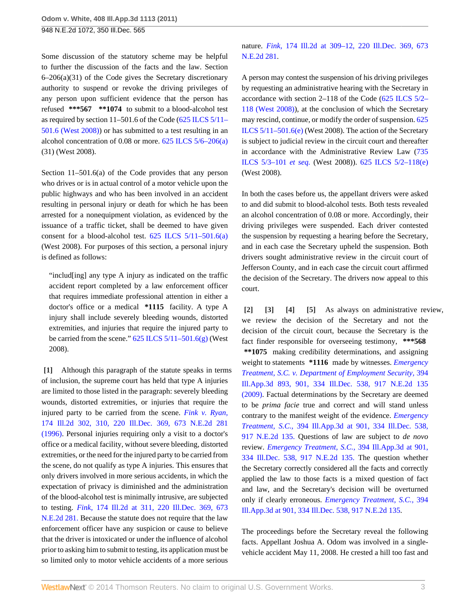Some discussion of the statutory scheme may be helpful to further the discussion of the facts and the law. Section 6–206(a)(31) of the Code gives the Secretary discretionary authority to suspend or revoke the driving privileges of any person upon sufficient evidence that the person has refused **\*\*\*567 \*\*1074** to submit to a blood-alcohol test as required by section 11–501.6 of the Code [\(625 ILCS 5/11–](http://www.westlaw.com/Link/Document/FullText?findType=L&pubNum=1000008&cite=IL625S5%2f11-501.6&originatingDoc=If098c6e05ee911e097a4a9f0a6e10efc&refType=LQ&originationContext=document&vr=3.0&rs=cblt1.0&transitionType=DocumentItem&contextData=(sc.Search)) [501.6 \(West 2008\)](http://www.westlaw.com/Link/Document/FullText?findType=L&pubNum=1000008&cite=IL625S5%2f11-501.6&originatingDoc=If098c6e05ee911e097a4a9f0a6e10efc&refType=LQ&originationContext=document&vr=3.0&rs=cblt1.0&transitionType=DocumentItem&contextData=(sc.Search))) or has submitted to a test resulting in an alcohol concentration of 0.08 or more. [625 ILCS 5/6–206\(a\)](http://www.westlaw.com/Link/Document/FullText?findType=L&pubNum=1000008&cite=IL625S5%2f6-206&originatingDoc=If098c6e05ee911e097a4a9f0a6e10efc&refType=SP&originationContext=document&vr=3.0&rs=cblt1.0&transitionType=DocumentItem&contextData=(sc.Search)#co_pp_8b3b0000958a4) (31) (West 2008).

Section 11–501.6(a) of the Code provides that any person who drives or is in actual control of a motor vehicle upon the public highways and who has been involved in an accident resulting in personal injury or death for which he has been arrested for a nonequipment violation, as evidenced by the issuance of a traffic ticket, shall be deemed to have given consent for a blood-alcohol test. [625 ILCS 5/11–501.6\(a\)](http://www.westlaw.com/Link/Document/FullText?findType=L&pubNum=1000008&cite=IL625S5%2f11-501.6&originatingDoc=If098c6e05ee911e097a4a9f0a6e10efc&refType=SP&originationContext=document&vr=3.0&rs=cblt1.0&transitionType=DocumentItem&contextData=(sc.Search)#co_pp_8b3b0000958a4) (West 2008). For purposes of this section, a personal injury is defined as follows:

"includ[ing] any type A injury as indicated on the traffic accident report completed by a law enforcement officer that requires immediate professional attention in either a doctor's office or a medical **\*1115** facility. A type A injury shall include severely bleeding wounds, distorted extremities, and injuries that require the injured party to be carried from the scene."  $625$  ILCS  $5/11-501.6(g)$  (West 2008).

<span id="page-2-0"></span>**[\[1\]](#page-0-0)** Although this paragraph of the statute speaks in terms of inclusion, the supreme court has held that type A injuries are limited to those listed in the paragraph: severely bleeding wounds, distorted extremities, or injuries that require the injured party to be carried from the scene. *[Fink v. Ryan,](http://www.westlaw.com/Link/Document/FullText?findType=Y&serNum=1996236106&pubNum=578&originationContext=document&vr=3.0&rs=cblt1.0&transitionType=DocumentItem&contextData=(sc.Search))* [174 Ill.2d 302, 310, 220 Ill.Dec. 369, 673 N.E.2d 281](http://www.westlaw.com/Link/Document/FullText?findType=Y&serNum=1996236106&pubNum=578&originationContext=document&vr=3.0&rs=cblt1.0&transitionType=DocumentItem&contextData=(sc.Search)) [\(1996\).](http://www.westlaw.com/Link/Document/FullText?findType=Y&serNum=1996236106&pubNum=578&originationContext=document&vr=3.0&rs=cblt1.0&transitionType=DocumentItem&contextData=(sc.Search)) Personal injuries requiring only a visit to a doctor's office or a medical facility, without severe bleeding, distorted extremities, or the need for the injured party to be carried from the scene, do not qualify as type A injuries. This ensures that only drivers involved in more serious accidents, in which the expectation of privacy is diminished and the administration of the blood-alcohol test is minimally intrusive, are subjected to testing. *Fink,* [174 Ill.2d at 311, 220 Ill.Dec. 369, 673](http://www.westlaw.com/Link/Document/FullText?findType=Y&serNum=1996236106&pubNum=578&originationContext=document&vr=3.0&rs=cblt1.0&transitionType=DocumentItem&contextData=(sc.Search)) [N.E.2d 281.](http://www.westlaw.com/Link/Document/FullText?findType=Y&serNum=1996236106&pubNum=578&originationContext=document&vr=3.0&rs=cblt1.0&transitionType=DocumentItem&contextData=(sc.Search)) Because the statute does not require that the law enforcement officer have any suspicion or cause to believe that the driver is intoxicated or under the influence of alcohol prior to asking him to submit to testing, its application must be so limited only to motor vehicle accidents of a more serious

nature. *Fink,* [174 Ill.2d at 309–12, 220 Ill.Dec. 369, 673](http://www.westlaw.com/Link/Document/FullText?findType=Y&serNum=1996236106&pubNum=578&originationContext=document&vr=3.0&rs=cblt1.0&transitionType=DocumentItem&contextData=(sc.Search)) [N.E.2d 281.](http://www.westlaw.com/Link/Document/FullText?findType=Y&serNum=1996236106&pubNum=578&originationContext=document&vr=3.0&rs=cblt1.0&transitionType=DocumentItem&contextData=(sc.Search))

A person may contest the suspension of his driving privileges by requesting an administrative hearing with the Secretary in accordance with section 2–118 of the Code [\(625 ILCS 5/2–](http://www.westlaw.com/Link/Document/FullText?findType=L&pubNum=1000008&cite=IL625S5%2f2-118&originatingDoc=If098c6e05ee911e097a4a9f0a6e10efc&refType=LQ&originationContext=document&vr=3.0&rs=cblt1.0&transitionType=DocumentItem&contextData=(sc.Search)) [118 \(West 2008\)\)](http://www.westlaw.com/Link/Document/FullText?findType=L&pubNum=1000008&cite=IL625S5%2f2-118&originatingDoc=If098c6e05ee911e097a4a9f0a6e10efc&refType=LQ&originationContext=document&vr=3.0&rs=cblt1.0&transitionType=DocumentItem&contextData=(sc.Search)), at the conclusion of which the Secretary may rescind, continue, or modify the order of suspension. [625](http://www.westlaw.com/Link/Document/FullText?findType=L&pubNum=1000008&cite=IL625S5%2f11-501.6&originatingDoc=If098c6e05ee911e097a4a9f0a6e10efc&refType=SP&originationContext=document&vr=3.0&rs=cblt1.0&transitionType=DocumentItem&contextData=(sc.Search)#co_pp_7fdd00001ca15) [ILCS 5/11–501.6\(e\)](http://www.westlaw.com/Link/Document/FullText?findType=L&pubNum=1000008&cite=IL625S5%2f11-501.6&originatingDoc=If098c6e05ee911e097a4a9f0a6e10efc&refType=SP&originationContext=document&vr=3.0&rs=cblt1.0&transitionType=DocumentItem&contextData=(sc.Search)#co_pp_7fdd00001ca15) (West 2008). The action of the Secretary is subject to judicial review in the circuit court and thereafter in accordance with the Administrative Review Law [\(735](http://www.westlaw.com/Link/Document/FullText?findType=L&pubNum=1000008&cite=IL735S5%2f3-101&originatingDoc=If098c6e05ee911e097a4a9f0a6e10efc&refType=LQ&originationContext=document&vr=3.0&rs=cblt1.0&transitionType=DocumentItem&contextData=(sc.Search)) [ILCS 5/3–101](http://www.westlaw.com/Link/Document/FullText?findType=L&pubNum=1000008&cite=IL735S5%2f3-101&originatingDoc=If098c6e05ee911e097a4a9f0a6e10efc&refType=LQ&originationContext=document&vr=3.0&rs=cblt1.0&transitionType=DocumentItem&contextData=(sc.Search)) *et seq.* (West 2008)). [625 ILCS 5/2–118\(e\)](http://www.westlaw.com/Link/Document/FullText?findType=L&pubNum=1000008&cite=IL625S5%2f2-118&originatingDoc=If098c6e05ee911e097a4a9f0a6e10efc&refType=SP&originationContext=document&vr=3.0&rs=cblt1.0&transitionType=DocumentItem&contextData=(sc.Search)#co_pp_7fdd00001ca15) (West 2008).

In both the cases before us, the appellant drivers were asked to and did submit to blood-alcohol tests. Both tests revealed an alcohol concentration of 0.08 or more. Accordingly, their driving privileges were suspended. Each driver contested the suspension by requesting a hearing before the Secretary, and in each case the Secretary upheld the suspension. Both drivers sought administrative review in the circuit court of Jefferson County, and in each case the circuit court affirmed the decision of the Secretary. The drivers now appeal to this court.

<span id="page-2-4"></span><span id="page-2-3"></span><span id="page-2-2"></span><span id="page-2-1"></span>**[\[2\]](#page-0-1) [\[3\]](#page-0-2) [\[4\]](#page-0-3) [\[5](#page-0-4)]** As always on administrative review, we review the decision of the Secretary and not the decision of the circuit court, because the Secretary is the fact finder responsible for overseeing testimony, **\*\*\*568 \*\*1075** making credibility determinations, and assigning weight to statements **\*1116** made by witnesses. *[Emergency](http://www.westlaw.com/Link/Document/FullText?findType=Y&serNum=2019950953&pubNum=578&originationContext=document&vr=3.0&rs=cblt1.0&transitionType=DocumentItem&contextData=(sc.Search)) [Treatment, S.C. v. Department of Employment Security,](http://www.westlaw.com/Link/Document/FullText?findType=Y&serNum=2019950953&pubNum=578&originationContext=document&vr=3.0&rs=cblt1.0&transitionType=DocumentItem&contextData=(sc.Search))* 394 [Ill.App.3d 893, 901, 334 Ill.Dec. 538, 917 N.E.2d 135](http://www.westlaw.com/Link/Document/FullText?findType=Y&serNum=2019950953&pubNum=578&originationContext=document&vr=3.0&rs=cblt1.0&transitionType=DocumentItem&contextData=(sc.Search)) [\(2009\).](http://www.westlaw.com/Link/Document/FullText?findType=Y&serNum=2019950953&pubNum=578&originationContext=document&vr=3.0&rs=cblt1.0&transitionType=DocumentItem&contextData=(sc.Search)) Factual determinations by the Secretary are deemed to be *prima facie* true and correct and will stand unless contrary to the manifest weight of the evidence. *[Emergency](http://www.westlaw.com/Link/Document/FullText?findType=Y&serNum=2019950953&pubNum=578&originationContext=document&vr=3.0&rs=cblt1.0&transitionType=DocumentItem&contextData=(sc.Search)) Treatment, S.C.,* [394 Ill.App.3d at 901, 334 Ill.Dec. 538,](http://www.westlaw.com/Link/Document/FullText?findType=Y&serNum=2019950953&pubNum=578&originationContext=document&vr=3.0&rs=cblt1.0&transitionType=DocumentItem&contextData=(sc.Search)) [917 N.E.2d 135.](http://www.westlaw.com/Link/Document/FullText?findType=Y&serNum=2019950953&pubNum=578&originationContext=document&vr=3.0&rs=cblt1.0&transitionType=DocumentItem&contextData=(sc.Search)) Questions of law are subject to *de novo* review. *[Emergency Treatment, S.C.,](http://www.westlaw.com/Link/Document/FullText?findType=Y&serNum=2019950953&pubNum=578&originationContext=document&vr=3.0&rs=cblt1.0&transitionType=DocumentItem&contextData=(sc.Search))* 394 Ill.App.3d at 901, [334 Ill.Dec. 538, 917 N.E.2d 135.](http://www.westlaw.com/Link/Document/FullText?findType=Y&serNum=2019950953&pubNum=578&originationContext=document&vr=3.0&rs=cblt1.0&transitionType=DocumentItem&contextData=(sc.Search)) The question whether the Secretary correctly considered all the facts and correctly applied the law to those facts is a mixed question of fact and law, and the Secretary's decision will be overturned only if clearly erroneous. *[Emergency Treatment, S.C.,](http://www.westlaw.com/Link/Document/FullText?findType=Y&serNum=2019950953&pubNum=578&originationContext=document&vr=3.0&rs=cblt1.0&transitionType=DocumentItem&contextData=(sc.Search))* 394 [Ill.App.3d at 901, 334 Ill.Dec. 538, 917 N.E.2d 135.](http://www.westlaw.com/Link/Document/FullText?findType=Y&serNum=2019950953&pubNum=578&originationContext=document&vr=3.0&rs=cblt1.0&transitionType=DocumentItem&contextData=(sc.Search))

The proceedings before the Secretary reveal the following facts. Appellant Joshua A. Odom was involved in a singlevehicle accident May 11, 2008. He crested a hill too fast and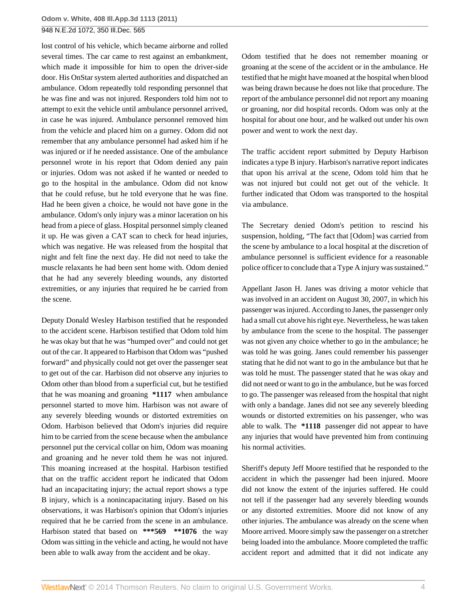lost control of his vehicle, which became airborne and rolled several times. The car came to rest against an embankment, which made it impossible for him to open the driver-side door. His OnStar system alerted authorities and dispatched an ambulance. Odom repeatedly told responding personnel that he was fine and was not injured. Responders told him not to attempt to exit the vehicle until ambulance personnel arrived, in case he was injured. Ambulance personnel removed him from the vehicle and placed him on a gurney. Odom did not remember that any ambulance personnel had asked him if he was injured or if he needed assistance. One of the ambulance personnel wrote in his report that Odom denied any pain or injuries. Odom was not asked if he wanted or needed to go to the hospital in the ambulance. Odom did not know that he could refuse, but he told everyone that he was fine. Had he been given a choice, he would not have gone in the ambulance. Odom's only injury was a minor laceration on his head from a piece of glass. Hospital personnel simply cleaned it up. He was given a CAT scan to check for head injuries, which was negative. He was released from the hospital that night and felt fine the next day. He did not need to take the muscle relaxants he had been sent home with. Odom denied that he had any severely bleeding wounds, any distorted extremities, or any injuries that required he be carried from the scene.

Deputy Donald Wesley Harbison testified that he responded to the accident scene. Harbison testified that Odom told him he was okay but that he was "humped over" and could not get out of the car. It appeared to Harbison that Odom was "pushed forward" and physically could not get over the passenger seat to get out of the car. Harbison did not observe any injuries to Odom other than blood from a superficial cut, but he testified that he was moaning and groaning **\*1117** when ambulance personnel started to move him. Harbison was not aware of any severely bleeding wounds or distorted extremities on Odom. Harbison believed that Odom's injuries did require him to be carried from the scene because when the ambulance personnel put the cervical collar on him, Odom was moaning and groaning and he never told them he was not injured. This moaning increased at the hospital. Harbison testified that on the traffic accident report he indicated that Odom had an incapacitating injury; the actual report shows a type B injury, which is a nonincapacitating injury. Based on his observations, it was Harbison's opinion that Odom's injuries required that he be carried from the scene in an ambulance. Harbison stated that based on **\*\*\*569 \*\*1076** the way Odom was sitting in the vehicle and acting, he would not have been able to walk away from the accident and be okay.

Odom testified that he does not remember moaning or groaning at the scene of the accident or in the ambulance. He testified that he might have moaned at the hospital when blood was being drawn because he does not like that procedure. The report of the ambulance personnel did not report any moaning or groaning, nor did hospital records. Odom was only at the hospital for about one hour, and he walked out under his own power and went to work the next day.

The traffic accident report submitted by Deputy Harbison indicates a type B injury. Harbison's narrative report indicates that upon his arrival at the scene, Odom told him that he was not injured but could not get out of the vehicle. It further indicated that Odom was transported to the hospital via ambulance.

The Secretary denied Odom's petition to rescind his suspension, holding, "The fact that [Odom] was carried from the scene by ambulance to a local hospital at the discretion of ambulance personnel is sufficient evidence for a reasonable police officer to conclude that a Type A injury was sustained."

Appellant Jason H. Janes was driving a motor vehicle that was involved in an accident on August 30, 2007, in which his passenger was injured. According to Janes, the passenger only had a small cut above his right eye. Nevertheless, he was taken by ambulance from the scene to the hospital. The passenger was not given any choice whether to go in the ambulance; he was told he was going. Janes could remember his passenger stating that he did not want to go in the ambulance but that he was told he must. The passenger stated that he was okay and did not need or want to go in the ambulance, but he was forced to go. The passenger was released from the hospital that night with only a bandage. Janes did not see any severely bleeding wounds or distorted extremities on his passenger, who was able to walk. The **\*1118** passenger did not appear to have any injuries that would have prevented him from continuing his normal activities.

Sheriff's deputy Jeff Moore testified that he responded to the accident in which the passenger had been injured. Moore did not know the extent of the injuries suffered. He could not tell if the passenger had any severely bleeding wounds or any distorted extremities. Moore did not know of any other injuries. The ambulance was already on the scene when Moore arrived. Moore simply saw the passenger on a stretcher being loaded into the ambulance. Moore completed the traffic accident report and admitted that it did not indicate any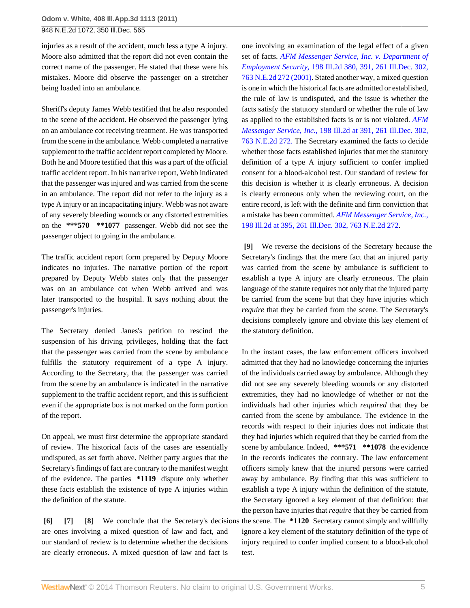injuries as a result of the accident, much less a type A injury. Moore also admitted that the report did not even contain the correct name of the passenger. He stated that these were his mistakes. Moore did observe the passenger on a stretcher being loaded into an ambulance.

Sheriff's deputy James Webb testified that he also responded to the scene of the accident. He observed the passenger lying on an ambulance cot receiving treatment. He was transported from the scene in the ambulance. Webb completed a narrative supplement to the traffic accident report completed by Moore. Both he and Moore testified that this was a part of the official traffic accident report. In his narrative report, Webb indicated that the passenger was injured and was carried from the scene in an ambulance. The report did not refer to the injury as a type A injury or an incapacitating injury. Webb was not aware of any severely bleeding wounds or any distorted extremities on the **\*\*\*570 \*\*1077** passenger. Webb did not see the passenger object to going in the ambulance.

The traffic accident report form prepared by Deputy Moore indicates no injuries. The narrative portion of the report prepared by Deputy Webb states only that the passenger was on an ambulance cot when Webb arrived and was later transported to the hospital. It says nothing about the passenger's injuries.

The Secretary denied Janes's petition to rescind the suspension of his driving privileges, holding that the fact that the passenger was carried from the scene by ambulance fulfills the statutory requirement of a type A injury. According to the Secretary, that the passenger was carried from the scene by an ambulance is indicated in the narrative supplement to the traffic accident report, and this is sufficient even if the appropriate box is not marked on the form portion of the report.

On appeal, we must first determine the appropriate standard of review. The historical facts of the cases are essentially undisputed, as set forth above. Neither party argues that the Secretary's findings of fact are contrary to the manifest weight of the evidence. The parties **\*1119** dispute only whether these facts establish the existence of type A injuries within the definition of the statute.

<span id="page-4-2"></span><span id="page-4-1"></span><span id="page-4-0"></span>**[\[6\]](#page-1-1) [\[7](#page-1-2)] [\[8\]](#page-1-3)** We conclude that the Secretary's decisions the scene. The **\*1120** Secretary cannot simply and willfully are ones involving a mixed question of law and fact, and our standard of review is to determine whether the decisions are clearly erroneous. A mixed question of law and fact is

one involving an examination of the legal effect of a given set of facts. *[AFM Messenger Service, Inc. v. Department of](http://www.westlaw.com/Link/Document/FullText?findType=Y&serNum=2001797063&pubNum=578&originationContext=document&vr=3.0&rs=cblt1.0&transitionType=DocumentItem&contextData=(sc.Search)) Employment Security,* [198 Ill.2d 380, 391, 261 Ill.Dec. 302,](http://www.westlaw.com/Link/Document/FullText?findType=Y&serNum=2001797063&pubNum=578&originationContext=document&vr=3.0&rs=cblt1.0&transitionType=DocumentItem&contextData=(sc.Search)) [763 N.E.2d 272 \(2001\)](http://www.westlaw.com/Link/Document/FullText?findType=Y&serNum=2001797063&pubNum=578&originationContext=document&vr=3.0&rs=cblt1.0&transitionType=DocumentItem&contextData=(sc.Search)). Stated another way, a mixed question is one in which the historical facts are admitted or established, the rule of law is undisputed, and the issue is whether the facts satisfy the statutory standard or whether the rule of law as applied to the established facts is or is not violated. *[AFM](http://www.westlaw.com/Link/Document/FullText?findType=Y&serNum=2001797063&pubNum=578&originationContext=document&vr=3.0&rs=cblt1.0&transitionType=DocumentItem&contextData=(sc.Search)) Messenger Service, Inc.,* [198 Ill.2d at 391, 261 Ill.Dec. 302,](http://www.westlaw.com/Link/Document/FullText?findType=Y&serNum=2001797063&pubNum=578&originationContext=document&vr=3.0&rs=cblt1.0&transitionType=DocumentItem&contextData=(sc.Search)) [763 N.E.2d 272.](http://www.westlaw.com/Link/Document/FullText?findType=Y&serNum=2001797063&pubNum=578&originationContext=document&vr=3.0&rs=cblt1.0&transitionType=DocumentItem&contextData=(sc.Search)) The Secretary examined the facts to decide whether those facts established injuries that met the statutory definition of a type A injury sufficient to confer implied consent for a blood-alcohol test. Our standard of review for this decision is whether it is clearly erroneous. A decision is clearly erroneous only when the reviewing court, on the entire record, is left with the definite and firm conviction that a mistake has been committed. *[AFM Messenger Service, Inc.,](http://www.westlaw.com/Link/Document/FullText?findType=Y&serNum=2001797063&pubNum=578&originationContext=document&vr=3.0&rs=cblt1.0&transitionType=DocumentItem&contextData=(sc.Search))* [198 Ill.2d at 395, 261 Ill.Dec. 302, 763 N.E.2d 272](http://www.westlaw.com/Link/Document/FullText?findType=Y&serNum=2001797063&pubNum=578&originationContext=document&vr=3.0&rs=cblt1.0&transitionType=DocumentItem&contextData=(sc.Search)).

<span id="page-4-3"></span>**[\[9\]](#page-1-0)** We reverse the decisions of the Secretary because the Secretary's findings that the mere fact that an injured party was carried from the scene by ambulance is sufficient to establish a type A injury are clearly erroneous. The plain language of the statute requires not only that the injured party be carried from the scene but that they have injuries which *require* that they be carried from the scene. The Secretary's decisions completely ignore and obviate this key element of the statutory definition.

In the instant cases, the law enforcement officers involved admitted that they had no knowledge concerning the injuries of the individuals carried away by ambulance. Although they did not see any severely bleeding wounds or any distorted extremities, they had no knowledge of whether or not the individuals had other injuries which *required* that they be carried from the scene by ambulance. The evidence in the records with respect to their injuries does not indicate that they had injuries which required that they be carried from the scene by ambulance. Indeed, **\*\*\*571 \*\*1078** the evidence in the records indicates the contrary. The law enforcement officers simply knew that the injured persons were carried away by ambulance. By finding that this was sufficient to establish a type A injury within the definition of the statute, the Secretary ignored a key element of that definition: that the person have injuries that *require* that they be carried from ignore a key element of the statutory definition of the type of injury required to confer implied consent to a blood-alcohol test.